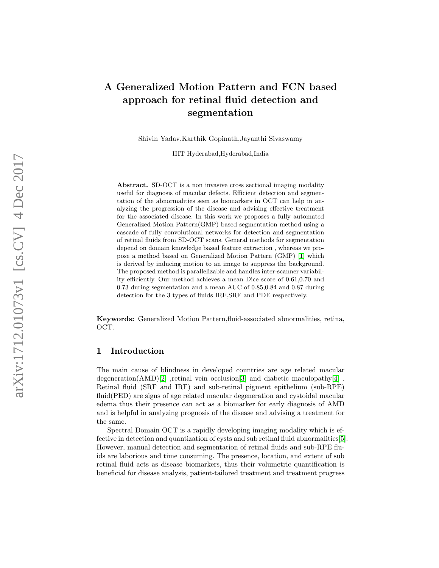# A Generalized Motion Pattern and FCN based approach for retinal fluid detection and segmentation

Shivin Yadav,Karthik Gopinath,Jayanthi Sivaswamy

IIIT Hyderabad,Hyderabad,India

Abstract. SD-OCT is a non invasive cross sectional imaging modality useful for diagnosis of macular defects. Efficient detection and segmentation of the abnormalities seen as biomarkers in OCT can help in analyzing the progression of the disease and advising effective treatment for the associated disease. In this work we proposes a fully automated Generalized Motion Pattern(GMP) based segmentation method using a cascade of fully convolutional networks for detection and segmentation of retinal fluids from SD-OCT scans. General methods for segmentation depend on domain knowledge based feature extraction , whereas we propose a method based on Generalized Motion Pattern (GMP) [\[1\]](#page-7-0) which is derived by inducing motion to an image to suppress the background. The proposed method is parallelizable and handles inter-scanner variability efficiently. Our method achieves a mean Dice score of 0.61,0.70 and 0.73 during segmentation and a mean AUC of 0.85,0.84 and 0.87 during detection for the 3 types of fluids IRF,SRF and PDE respectively.

Keywords: Generalized Motion Pattern,fluid-associated abnormalities, retina, OCT.

# 1 Introduction

The main cause of blindness in developed countries are age related macular degeneration(AMD)[\[2\]](#page-7-1) ,retinal vein occlusion[\[3\]](#page-7-2) and diabetic maculopathy[\[4\]](#page-7-3) Retinal fluid (SRF and IRF) and sub-retinal pigment epithelium (sub-RPE) fluid(PED) are signs of age related macular degeneration and cystoidal macular edema thus their presence can act as a biomarker for early diagnosis of AMD and is helpful in analyzing prognosis of the disease and advising a treatment for the same.

Spectral Domain OCT is a rapidly developing imaging modality which is effective in detection and quantization of cysts and sub retinal fluid abnormalities[\[5\]](#page-7-4). However, manual detection and segmentation of retinal fluids and sub-RPE fluids are laborious and time consuming. The presence, location, and extent of sub retinal fluid acts as disease biomarkers, thus their volumetric quantification is beneficial for disease analysis, patient-tailored treatment and treatment progress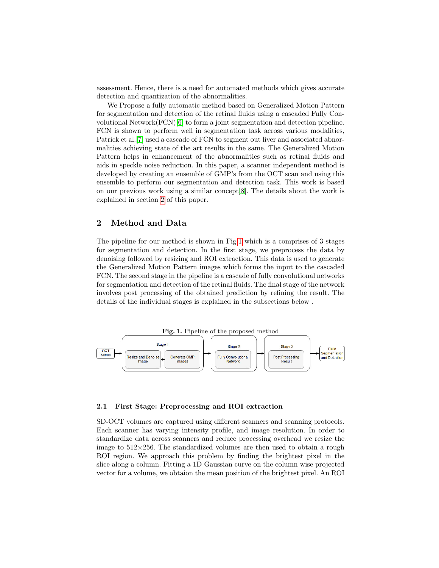assessment. Hence, there is a need for automated methods which gives accurate detection and quantization of the abnormalities.

We Propose a fully automatic method based on Generalized Motion Pattern for segmentation and detection of the retinal fluids using a cascaded Fully Convolutional Network(FCN)[\[6\]](#page-7-5) to form a joint segmentation and detection pipeline. FCN is shown to perform well in segmentation task across various modalities, Patrick et al.[\[7\]](#page-7-6) used a cascade of FCN to segment out liver and associated abnormalities achieving state of the art results in the same. The Generalized Motion Pattern helps in enhancement of the abnormalities such as retinal fluids and aids in speckle noise reduction. In this paper, a scanner independent method is developed by creating an ensemble of GMP's from the OCT scan and using this ensemble to perform our segmentation and detection task. This work is based on our previous work using a similar concept[\[8\]](#page-7-7). The details about the work is explained in section [2](#page-1-0) of this paper.

# <span id="page-1-0"></span>2 Method and Data

The pipeline for our method is shown in Fig[.1](#page-1-1) which is a comprises of 3 stages for segmentation and detection. In the first stage, we preprocess the data by denoising followed by resizing and ROI extraction. This data is used to generate the Generalized Motion Pattern images which forms the input to the cascaded FCN. The second stage in the pipeline is a cascade of fully convolutional networks for segmentation and detection of the retinal fluids. The final stage of the network involves post processing of the obtained prediction by refining the result. The details of the individual stages is explained in the subsections below .

<span id="page-1-1"></span>

### 2.1 First Stage: Preprocessing and ROI extraction

SD-OCT volumes are captured using different scanners and scanning protocols. Each scanner has varying intensity profile, and image resolution. In order to standardize data across scanners and reduce processing overhead we resize the image to  $512\times256$ . The standardized volumes are then used to obtain a rough ROI region. We approach this problem by finding the brightest pixel in the slice along a column. Fitting a 1D Gaussian curve on the column wise projected vector for a volume, we obtaion the mean position of the brightest pixel. An ROI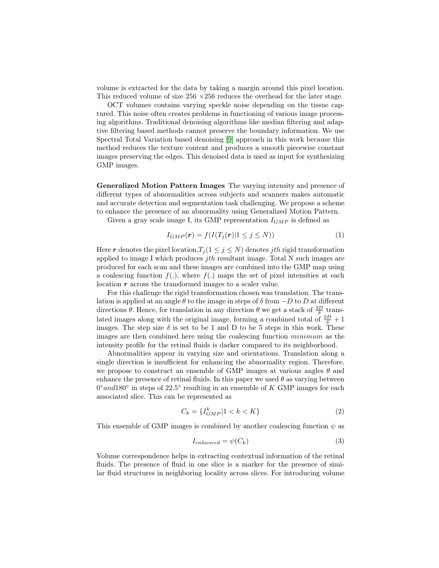volume is extracted for the data by taking a margin around this pixel location. This reduced volume of size  $256 \times 256$  reduces the overhead for the later stage.

OCT volumes contains varying speckle noise depending on the tissue captured. This noise often creates problems in functioning of various image processing algorithms. Traditional denoising algorithms like median filtering and adaptive filtering based methods cannot preserve the boundary information. We use Spectral Total Variation based denoising [\[9\]](#page-7-8) approach in this work because this method reduces the texture content and produces a smooth piecewise constant images preserving the edges. This denoised data is used as input for synthesizing GMP images.

Generalized Motion Pattern Images The varying intensity and presence of different types of abnormalities across subjects and scanners makes automatic and accurate detection and segmentation task challenging. We propose a scheme to enhance the presence of an abnormality using Generalized Motion Pattern.

Given a gray scale image I, its GMP representation  $I_{GMP}$  is defined as

$$
I_{GMP}(\mathbf{r}) = f(I(T_j(\mathbf{r}) | 1 \le j \le N))
$$
\n(1)

Here r denotes the pixel location,  $T_j$  ( $1 \leq j \leq N$ ) denotes jth rigid transformation applied to image I which produces  $j$ th resultant image. Total N such images are produced for each scan and these images are combined into the GMP map using a coalescing function  $f(.)$ , where  $f(.)$  maps the set of pixel intensities at each location r across the transformed images to a scaler value.

For this challenge the rigid transformation chosen was translation. The translation is applied at an angle  $\theta$  to the image in steps of  $\delta$  from  $-D$  to D at different directions  $\theta$ . Hence, for translation in any direction  $\theta$  we get a stack of  $\frac{2D}{\delta}$  translated images along with the original image, forming a combined total of  $\frac{2D}{\delta} + 1$ images. The step size  $\delta$  is set to be 1 and D to be 5 steps in this work. These images are then combined here using the coalescing function minimum as the intensity profile for the retinal fluids is darker compared to its neighborhood.

Abnormalities appear in varying size and orientations. Translation along a single direction is insufficient for enhancing the abnormality region. Therefore, we propose to construct an ensemble of GMP images at various angles  $\theta$  and enhance the presence of retinal fluids. In this paper we used  $\theta$  as varying between  $0^{\circ}$ and180 $^{\circ}$  in steps of 22.5 $^{\circ}$  resulting in an ensemble of K GMP images for each associated slice. This can be represented as

$$
C_k = \{ I_{GMP}^k | 1 < k < K \} \tag{2}
$$

This ensemble of GMP images is combined by another coalescing function  $\psi$  as

$$
I_{enhanced} = \psi(C_k) \tag{3}
$$

Volume correspondence helps in extracting contextual information of the retinal fluids. The presence of fluid in one slice is a marker for the presence of similar fluid structures in neighboring locality across slices. For introducing volume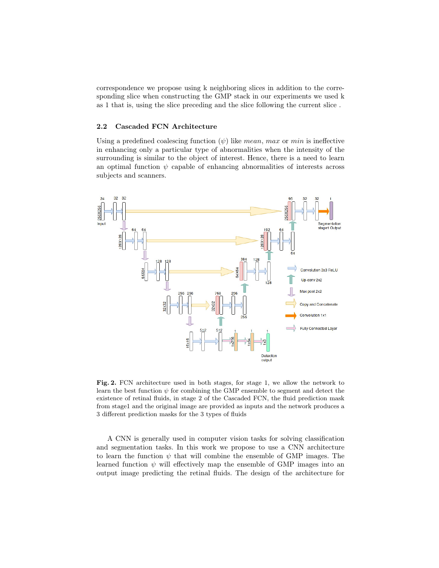correspondence we propose using k neighboring slices in addition to the corresponding slice when constructing the GMP stack in our experiments we used k as 1 that is, using the slice preceding and the slice following the current slice .

### 2.2 Cascaded FCN Architecture

Using a predefined coalescing function  $(\psi)$  like mean, max or min is ineffective in enhancing only a particular type of abnormalities when the intensity of the surrounding is similar to the object of interest. Hence, there is a need to learn an optimal function  $\psi$  capable of enhancing abnormalities of interests across subjects and scanners.



<span id="page-3-0"></span>Fig. 2. FCN architecture used in both stages, for stage 1, we allow the network to learn the best function  $\psi$  for combining the GMP ensemble to segment and detect the existence of retinal fluids, in stage 2 of the Cascaded FCN, the fluid prediction mask from stage1 and the original image are provided as inputs and the network produces a 3 different prediction masks for the 3 types of fluids

A CNN is generally used in computer vision tasks for solving classification and segmentation tasks. In this work we propose to use a CNN architecture to learn the function  $\psi$  that will combine the ensemble of GMP images. The learned function  $\psi$  will effectively map the ensemble of GMP images into an output image predicting the retinal fluids. The design of the architecture for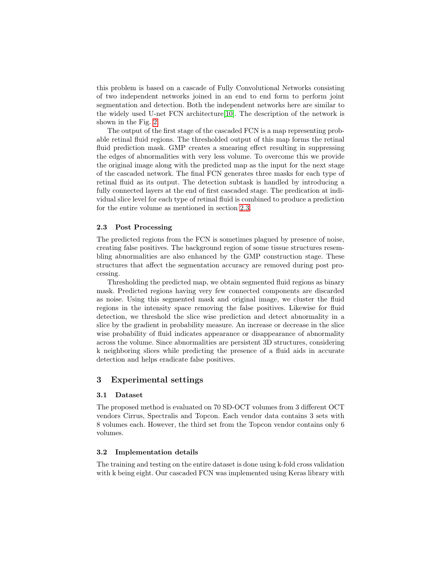this problem is based on a cascade of Fully Convolutional Networks consisting of two independent networks joined in an end to end form to perform joint segmentation and detection. Both the independent networks here are similar to the widely used U-net FCN architecture[\[10\]](#page-7-9). The description of the network is shown in the Fig. [2.](#page-3-0)

The output of the first stage of the cascaded FCN is a map representing probable retinal fluid regions. The thresholded output of this map forms the retinal fluid prediction mask. GMP creates a smearing effect resulting in suppressing the edges of abnormalities with very less volume. To overcome this we provide the original image along with the predicted map as the input for the next stage of the cascaded network. The final FCN generates three masks for each type of retinal fluid as its output. The detection subtask is handled by introducing a fully connected layers at the end of first cascaded stage. The predication at individual slice level for each type of retinal fluid is combined to produce a prediction for the entire volume as mentioned in section [2.3.](#page-4-0)

## <span id="page-4-0"></span>2.3 Post Processing

The predicted regions from the FCN is sometimes plagued by presence of noise, creating false positives. The background region of some tissue structures resembling abnormalities are also enhanced by the GMP construction stage. These structures that affect the segmentation accuracy are removed during post processing.

Thresholding the predicted map, we obtain segmented fluid regions as binary mask. Predicted regions having very few connected components are discarded as noise. Using this segmented mask and original image, we cluster the fluid regions in the intensity space removing the false positives. Likewise for fluid detection, we threshold the slice wise prediction and detect abnormality in a slice by the gradient in probability measure. An increase or decrease in the slice wise probability of fluid indicates appearance or disappearance of abnormality across the volume. Since abnormalities are persistent 3D structures, considering k neighboring slices while predicting the presence of a fluid aids in accurate detection and helps eradicate false positives.

## 3 Experimental settings

#### 3.1 Dataset

The proposed method is evaluated on 70 SD-OCT volumes from 3 different OCT vendors Cirrus, Spectralis and Topcon. Each vendor data contains 3 sets with 8 volumes each. However, the third set from the Topcon vendor contains only 6 volumes.

#### 3.2 Implementation details

The training and testing on the entire dataset is done using k-fold cross validation with k being eight. Our cascaded FCN was implemented using Keras library with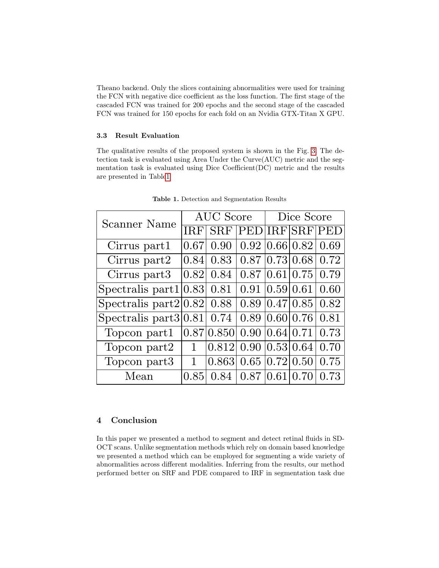Theano backend. Only the slices containing abnormalities were used for training the FCN with negative dice coefficient as the loss function. The first stage of the cascaded FCN was trained for 200 epochs and the second stage of the cascaded FCN was trained for 150 epochs for each fold on an Nvidia GTX-Titan X GPU.

## 3.3 Result Evaluation

The qualitative results of the proposed system is shown in the Fig. [3.](#page-6-0) The detection task is evaluated using Area Under the Curve(AUC) metric and the segmentation task is evaluated using Dice Coefficient(DC) metric and the results are presented in Tabl[e1](#page-5-0)

<span id="page-5-0"></span>

| Scanner Name              | AUC Score    |            |                      | Dice Score |                              |             |
|---------------------------|--------------|------------|----------------------|------------|------------------------------|-------------|
|                           |              |            | <b>PEDIIRFISRF</b>   |            |                              | <b>IPED</b> |
| Cirrus part1              | 0.67         | 0.90       |                      |            | 0.92   0.66   0.82           | 0.69        |
| Cirrus part2              | 0.84         | 0.83       |                      |            | $0.87$ $ 0.73 0.68$          | 0.72        |
| Cirrus part <sub>3</sub>  | 0.82         | 0.84       |                      |            | $0.87 \, 0.61 \, 0.75$       | 0.79        |
| Spectralis part $1 0.83 $ |              | 0.81       | 0.91                 |            | 0.59 0.61                    | 0.60        |
| Spectralis part $2 0.82 $ |              | 0.88       |                      |            | $0.89 \,   0.47 \,   0.85  $ | 0.82        |
| Spectralis part $3 0.81 $ |              | 0.74       |                      |            | 0.89   0.60   0.76           | 0.81        |
| Topcon part1              |              | 0.87 0.850 | 0.90   0.64   0.71   |            |                              | 0.73        |
| Topcon part2              | 1            | 0.812      | $0.90\, 0.53\, 0.64$ |            |                              | 0.70        |
| Topcon part3              | $\mathbf{1}$ | 0.863      | 0.65                 |            | 0.72 0.50                    | 0.75        |
| Mean                      | 0.85         | 0.84       | 0.87                 | 0.61       | 0.70                         | 0.73        |

Table 1. Detection and Segmentation Results

# 4 Conclusion

In this paper we presented a method to segment and detect retinal fluids in SD-OCT scans. Unlike segmentation methods which rely on domain based knowledge we presented a method which can be employed for segmenting a wide variety of abnormalities across different modalities. Inferring from the results, our method performed better on SRF and PDE compared to IRF in segmentation task due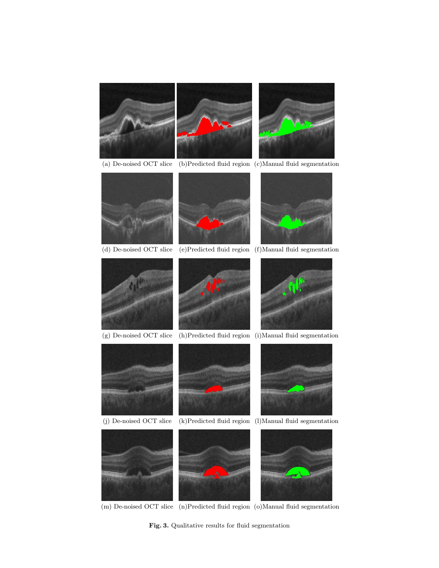

(m) De-noised OCT slice (n)Predicted fluid region (o)Manual fluid segmentation

<span id="page-6-0"></span>Fig. 3. Qualitative results for fluid segmentation